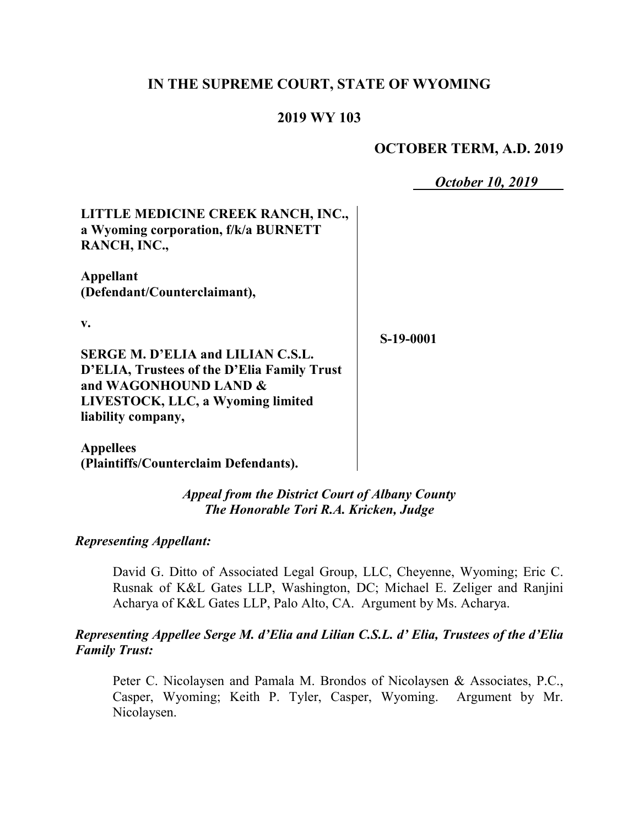### **IN THE SUPREME COURT, STATE OF WYOMING**

#### **2019 WY 103**

#### **OCTOBER TERM, A.D. 2019**

*October 10, 2019*

| LITTLE MEDICINE CREEK RANCH, INC.,   |
|--------------------------------------|
| a Wyoming corporation, f/k/a BURNETT |
| RANCH, INC.,                         |

**Appellant (Defendant/Counterclaimant),**

**v.**

**S-19-0001**

**SERGE M. D'ELIA and LILIAN C.S.L. D'ELIA, Trustees of the D'Elia Family Trust and WAGONHOUND LAND & LIVESTOCK, LLC, a Wyoming limited liability company,**

**Appellees (Plaintiffs/Counterclaim Defendants).**

> *Appeal from the District Court of Albany County The Honorable Tori R.A. Kricken, Judge*

*Representing Appellant:*

David G. Ditto of Associated Legal Group, LLC, Cheyenne, Wyoming; Eric C. Rusnak of K&L Gates LLP, Washington, DC; Michael E. Zeliger and Ranjini Acharya of K&L Gates LLP, Palo Alto, CA. Argument by Ms. Acharya.

#### *Representing Appellee Serge M. d'Elia and Lilian C.S.L. d' Elia, Trustees of the d'Elia Family Trust:*

Peter C. Nicolaysen and Pamala M. Brondos of Nicolaysen & Associates, P.C., Casper, Wyoming; Keith P. Tyler, Casper, Wyoming. Argument by Mr. Nicolaysen.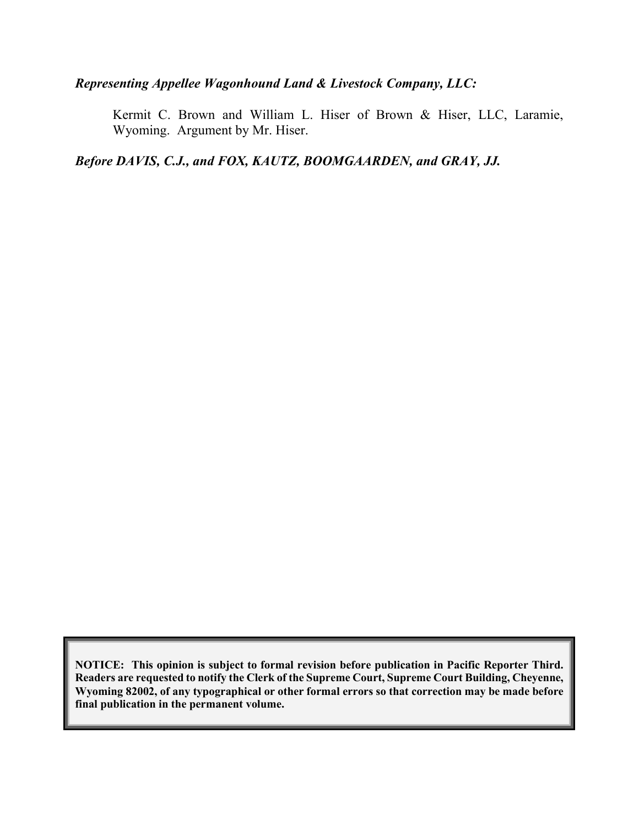### *Representing Appellee Wagonhound Land & Livestock Company, LLC:*

Kermit C. Brown and William L. Hiser of Brown & Hiser, LLC, Laramie, Wyoming. Argument by Mr. Hiser.

*Before DAVIS, C.J., and FOX, KAUTZ, BOOMGAARDEN, and GRAY, JJ.*

**NOTICE: This opinion is subject to formal revision before publication in Pacific Reporter Third. Readers are requested to notify the Clerk of the Supreme Court, Supreme Court Building, Cheyenne, Wyoming 82002, of any typographical or other formal errors so that correction may be made before final publication in the permanent volume.**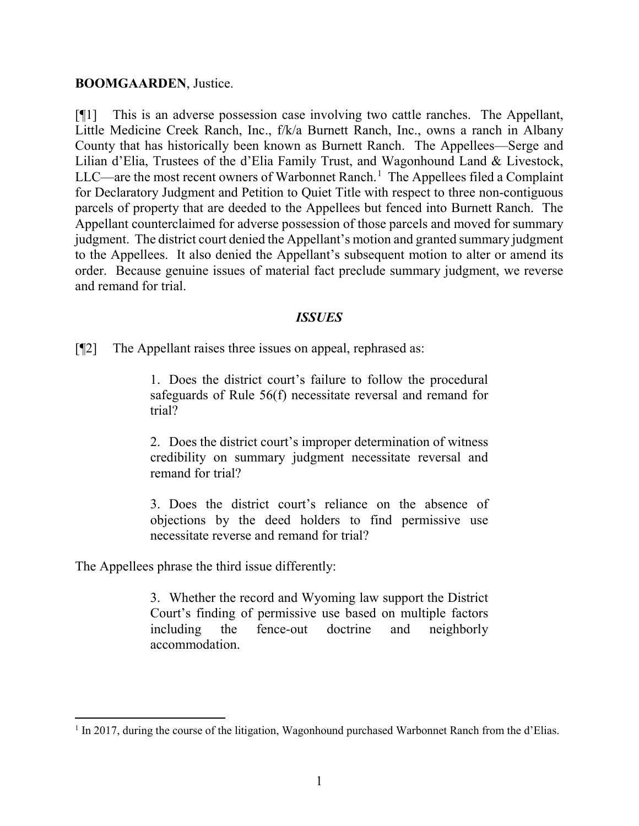#### **BOOMGAARDEN**, Justice.

[¶1] This is an adverse possession case involving two cattle ranches. The Appellant, Little Medicine Creek Ranch, Inc., f/k/a Burnett Ranch, Inc., owns a ranch in Albany County that has historically been known as Burnett Ranch. The Appellees—Serge and Lilian d'Elia, Trustees of the d'Elia Family Trust, and Wagonhound Land & Livestock, LLC—are the most recent owners of Warbonnet Ranch.<sup>[1](#page-2-0)</sup> The Appellees filed a Complaint for Declaratory Judgment and Petition to Quiet Title with respect to three non-contiguous parcels of property that are deeded to the Appellees but fenced into Burnett Ranch. The Appellant counterclaimed for adverse possession of those parcels and moved for summary judgment. The district court denied the Appellant's motion and granted summary judgment to the Appellees. It also denied the Appellant's subsequent motion to alter or amend its order. Because genuine issues of material fact preclude summary judgment, we reverse and remand for trial.

#### *ISSUES*

[¶2] The Appellant raises three issues on appeal, rephrased as:

1. Does the district court's failure to follow the procedural safeguards of Rule 56(f) necessitate reversal and remand for trial?

2. Does the district court's improper determination of witness credibility on summary judgment necessitate reversal and remand for trial?

3. Does the district court's reliance on the absence of objections by the deed holders to find permissive use necessitate reverse and remand for trial?

The Appellees phrase the third issue differently:

l

3. Whether the record and Wyoming law support the District Court's finding of permissive use based on multiple factors including the fence-out doctrine and neighborly accommodation.

<span id="page-2-0"></span><sup>&</sup>lt;sup>1</sup> In 2017, during the course of the litigation, Wagonhound purchased Warbonnet Ranch from the d'Elias.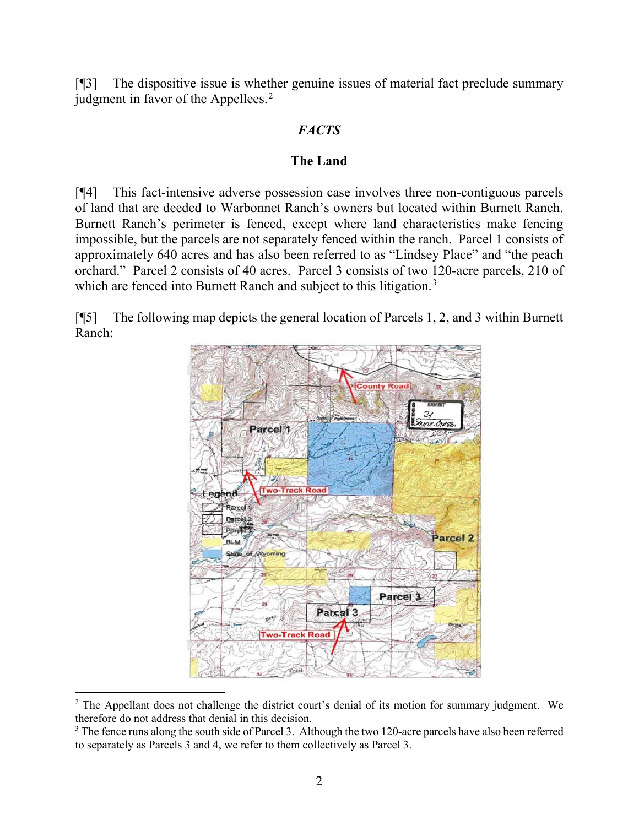[¶3] The dispositive issue is whether genuine issues of material fact preclude summary judgment in favor of the Appellees.<sup>[2](#page-3-0)</sup>

# *FACTS*

### **The Land**

[¶4] This fact-intensive adverse possession case involves three non-contiguous parcels of land that are deeded to Warbonnet Ranch's owners but located within Burnett Ranch. Burnett Ranch's perimeter is fenced, except where land characteristics make fencing impossible, but the parcels are not separately fenced within the ranch. Parcel 1 consists of approximately 640 acres and has also been referred to as "Lindsey Place" and "the peach orchard." Parcel 2 consists of 40 acres. Parcel 3 consists of two 120-acre parcels, 210 of which are fenced into Burnett Ranch and subject to this litigation.<sup>[3](#page-3-1)</sup>

[¶5] The following map depicts the general location of Parcels 1, 2, and 3 within Burnett Ranch:



<span id="page-3-0"></span> $\overline{a}$ <sup>2</sup> The Appellant does not challenge the district court's denial of its motion for summary judgment. We therefore do not address that denial in this decision.

<span id="page-3-1"></span><sup>&</sup>lt;sup>3</sup> The fence runs along the south side of Parcel 3. Although the two 120-acre parcels have also been referred to separately as Parcels 3 and 4, we refer to them collectively as Parcel 3.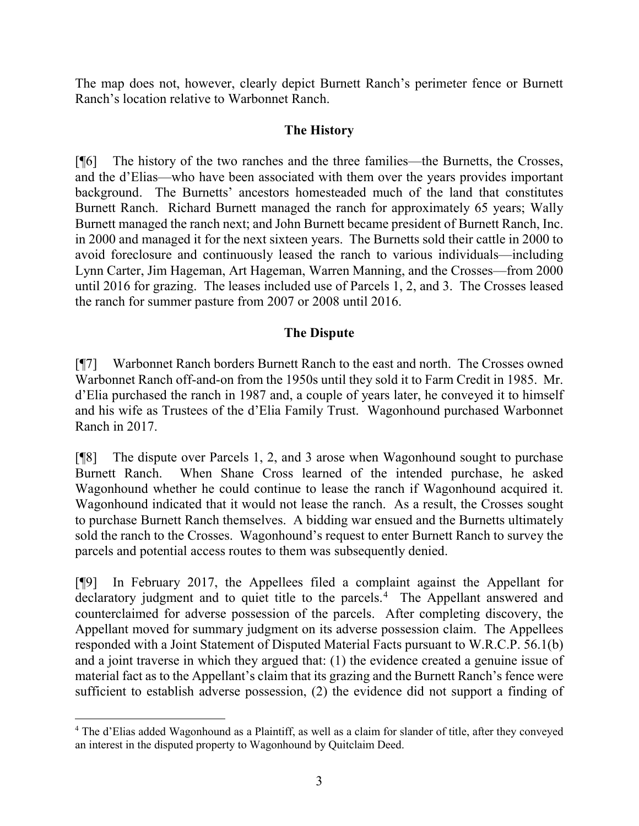The map does not, however, clearly depict Burnett Ranch's perimeter fence or Burnett Ranch's location relative to Warbonnet Ranch.

### **The History**

[¶6] The history of the two ranches and the three families—the Burnetts, the Crosses, and the d'Elias—who have been associated with them over the years provides important background. The Burnetts' ancestors homesteaded much of the land that constitutes Burnett Ranch. Richard Burnett managed the ranch for approximately 65 years; Wally Burnett managed the ranch next; and John Burnett became president of Burnett Ranch, Inc. in 2000 and managed it for the next sixteen years. The Burnetts sold their cattle in 2000 to avoid foreclosure and continuously leased the ranch to various individuals—including Lynn Carter, Jim Hageman, Art Hageman, Warren Manning, and the Crosses—from 2000 until 2016 for grazing. The leases included use of Parcels 1, 2, and 3. The Crosses leased the ranch for summer pasture from 2007 or 2008 until 2016.

# **The Dispute**

[¶7] Warbonnet Ranch borders Burnett Ranch to the east and north. The Crosses owned Warbonnet Ranch off-and-on from the 1950s until they sold it to Farm Credit in 1985. Mr. d'Elia purchased the ranch in 1987 and, a couple of years later, he conveyed it to himself and his wife as Trustees of the d'Elia Family Trust. Wagonhound purchased Warbonnet Ranch in 2017.

[¶8] The dispute over Parcels 1, 2, and 3 arose when Wagonhound sought to purchase Burnett Ranch. When Shane Cross learned of the intended purchase, he asked Wagonhound whether he could continue to lease the ranch if Wagonhound acquired it. Wagonhound indicated that it would not lease the ranch. As a result, the Crosses sought to purchase Burnett Ranch themselves. A bidding war ensued and the Burnetts ultimately sold the ranch to the Crosses. Wagonhound's request to enter Burnett Ranch to survey the parcels and potential access routes to them was subsequently denied.

[¶9] In February 2017, the Appellees filed a complaint against the Appellant for declaratory judgment and to quiet title to the parcels.<sup>[4](#page-4-0)</sup> The Appellant answered and counterclaimed for adverse possession of the parcels. After completing discovery, the Appellant moved for summary judgment on its adverse possession claim. The Appellees responded with a Joint Statement of Disputed Material Facts pursuant to W.R.C.P. 56.1(b) and a joint traverse in which they argued that: (1) the evidence created a genuine issue of material fact as to the Appellant's claim that its grazing and the Burnett Ranch's fence were sufficient to establish adverse possession, (2) the evidence did not support a finding of

l

<span id="page-4-0"></span><sup>4</sup> The d'Elias added Wagonhound as a Plaintiff, as well as a claim for slander of title, after they conveyed an interest in the disputed property to Wagonhound by Quitclaim Deed.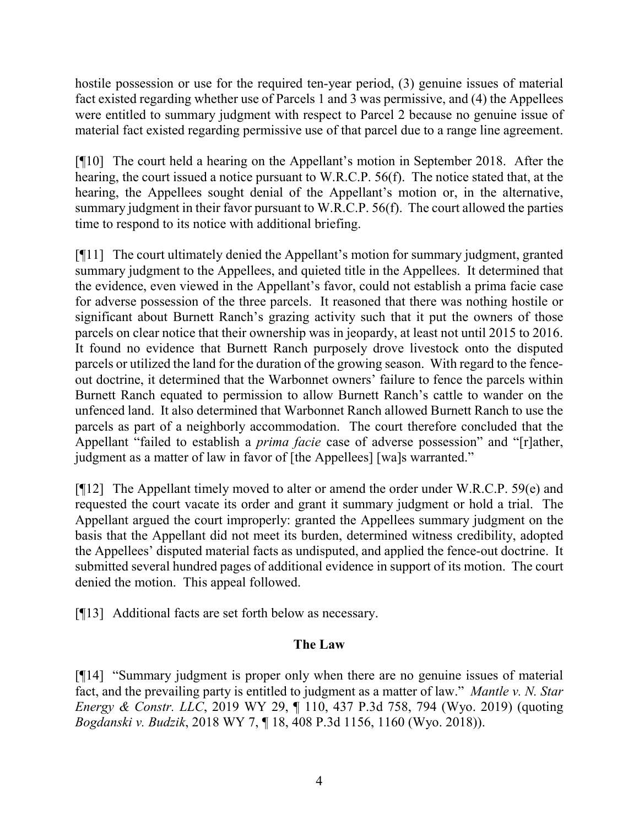hostile possession or use for the required ten-year period, (3) genuine issues of material fact existed regarding whether use of Parcels 1 and 3 was permissive, and (4) the Appellees were entitled to summary judgment with respect to Parcel 2 because no genuine issue of material fact existed regarding permissive use of that parcel due to a range line agreement.

[¶10] The court held a hearing on the Appellant's motion in September 2018. After the hearing, the court issued a notice pursuant to W.R.C.P. 56(f). The notice stated that, at the hearing, the Appellees sought denial of the Appellant's motion or, in the alternative, summary judgment in their favor pursuant to W.R.C.P. 56(f). The court allowed the parties time to respond to its notice with additional briefing.

[¶11] The court ultimately denied the Appellant's motion for summary judgment, granted summary judgment to the Appellees, and quieted title in the Appellees. It determined that the evidence, even viewed in the Appellant's favor, could not establish a prima facie case for adverse possession of the three parcels. It reasoned that there was nothing hostile or significant about Burnett Ranch's grazing activity such that it put the owners of those parcels on clear notice that their ownership was in jeopardy, at least not until 2015 to 2016. It found no evidence that Burnett Ranch purposely drove livestock onto the disputed parcels or utilized the land for the duration of the growing season. With regard to the fenceout doctrine, it determined that the Warbonnet owners' failure to fence the parcels within Burnett Ranch equated to permission to allow Burnett Ranch's cattle to wander on the unfenced land. It also determined that Warbonnet Ranch allowed Burnett Ranch to use the parcels as part of a neighborly accommodation. The court therefore concluded that the Appellant "failed to establish a *prima facie* case of adverse possession" and "[r]ather, judgment as a matter of law in favor of [the Appellees] [wa]s warranted."

[¶12] The Appellant timely moved to alter or amend the order under W.R.C.P. 59(e) and requested the court vacate its order and grant it summary judgment or hold a trial. The Appellant argued the court improperly: granted the Appellees summary judgment on the basis that the Appellant did not meet its burden, determined witness credibility, adopted the Appellees' disputed material facts as undisputed, and applied the fence-out doctrine. It submitted several hundred pages of additional evidence in support of its motion. The court denied the motion. This appeal followed.

[¶13] Additional facts are set forth below as necessary.

# **The Law**

[¶14] "Summary judgment is proper only when there are no genuine issues of material fact, and the prevailing party is entitled to judgment as a matter of law." *Mantle v. N. Star Energy & Constr. LLC*, 2019 WY 29, ¶ 110, 437 P.3d 758, 794 (Wyo. 2019) (quoting *Bogdanski v. Budzik*, 2018 WY 7, ¶ 18, 408 P.3d 1156, 1160 (Wyo. 2018)).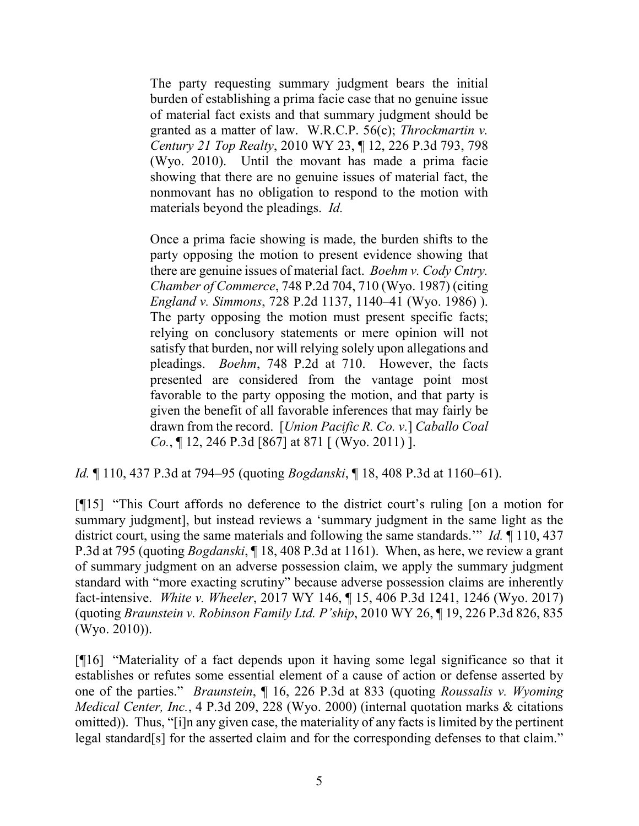The party requesting summary judgment bears the initial burden of establishing a prima facie case that no genuine issue of material fact exists and that summary judgment should be granted as a matter of law. W.R.C.P. 56(c); *Throckmartin v. Century 21 Top Realty*, 2010 WY 23, ¶ 12, 226 P.3d 793, 798 (Wyo. 2010). Until the movant has made a prima facie showing that there are no genuine issues of material fact, the nonmovant has no obligation to respond to the motion with materials beyond the pleadings. *Id.*

Once a prima facie showing is made, the burden shifts to the party opposing the motion to present evidence showing that there are genuine issues of material fact. *Boehm v. Cody Cntry. Chamber of Commerce*, 748 P.2d 704, 710 (Wyo. 1987) (citing *England v. Simmons*, 728 P.2d 1137, 1140–41 (Wyo. 1986) ). The party opposing the motion must present specific facts; relying on conclusory statements or mere opinion will not satisfy that burden, nor will relying solely upon allegations and pleadings. *Boehm*, 748 P.2d at 710. However, the facts presented are considered from the vantage point most favorable to the party opposing the motion, and that party is given the benefit of all favorable inferences that may fairly be drawn from the record. [*Union Pacific R. Co. v.*] *Caballo Coal Co.*, ¶ 12, 246 P.3d [867] at 871 [ (Wyo. 2011) ].

*Id.* ¶ 110, 437 P.3d at 794–95 (quoting *Bogdanski*, ¶ 18, 408 P.3d at 1160–61).

[¶15] "This Court affords no deference to the district court's ruling [on a motion for summary judgment], but instead reviews a 'summary judgment in the same light as the district court, using the same materials and following the same standards.'" *Id.* ¶ 110, 437 P.3d at 795 (quoting *Bogdanski*, ¶ 18, 408 P.3d at 1161). When, as here, we review a grant of summary judgment on an adverse possession claim, we apply the summary judgment standard with "more exacting scrutiny" because adverse possession claims are inherently fact-intensive. *White v. Wheeler*, 2017 WY 146, ¶ 15, 406 P.3d 1241, 1246 (Wyo. 2017) (quoting *Braunstein v. Robinson Family Ltd. P'ship*, 2010 WY 26, ¶ 19, 226 P.3d 826, 835 (Wyo. 2010)).

[¶16] "Materiality of a fact depends upon it having some legal significance so that it establishes or refutes some essential element of a cause of action or defense asserted by one of the parties." *Braunstein*, ¶ 16, 226 P.3d at 833 (quoting *Roussalis v. Wyoming Medical Center, Inc.*, 4 P.3d 209, 228 (Wyo. 2000) (internal quotation marks & citations omitted)). Thus, "[i]n any given case, the materiality of any facts is limited by the pertinent legal standard[s] for the asserted claim and for the corresponding defenses to that claim."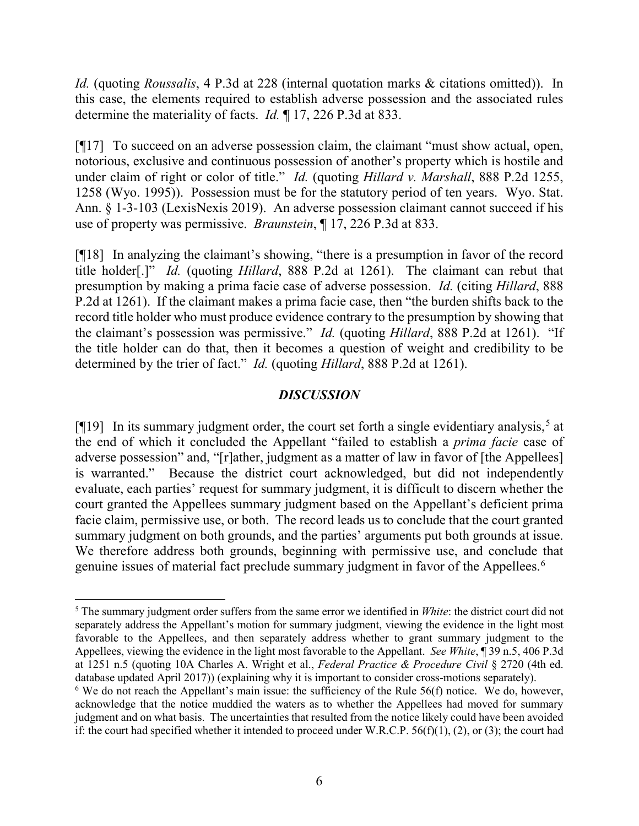*Id.* (quoting *Roussalis*, 4 P.3d at 228 (internal quotation marks & citations omitted)). In this case, the elements required to establish adverse possession and the associated rules determine the materiality of facts. *Id.* ¶ 17, 226 P.3d at 833.

[¶17] To succeed on an adverse possession claim, the claimant "must show actual, open, notorious, exclusive and continuous possession of another's property which is hostile and under claim of right or color of title." *Id.* (quoting *Hillard v. Marshall*, 888 P.2d 1255, 1258 (Wyo. 1995)). Possession must be for the statutory period of ten years. Wyo. Stat. Ann. § 1-3-103 (LexisNexis 2019). An adverse possession claimant cannot succeed if his use of property was permissive. *Braunstein*, ¶ 17, 226 P.3d at 833.

[¶18] In analyzing the claimant's showing, "there is a presumption in favor of the record title holder[.]" *Id.* (quoting *Hillard*, 888 P.2d at 1261). The claimant can rebut that presumption by making a prima facie case of adverse possession. *Id.* (citing *Hillard*, 888 P.2d at 1261). If the claimant makes a prima facie case, then "the burden shifts back to the record title holder who must produce evidence contrary to the presumption by showing that the claimant's possession was permissive." *Id.* (quoting *Hillard*, 888 P.2d at 1261). "If the title holder can do that, then it becomes a question of weight and credibility to be determined by the trier of fact." *Id.* (quoting *Hillard*, 888 P.2d at 1261).

#### *DISCUSSION*

[ $[$ [19] In its summary judgment order, the court set forth a single evidentiary analysis,<sup>[5](#page-7-0)</sup> at the end of which it concluded the Appellant "failed to establish a *prima facie* case of adverse possession" and, "[r]ather, judgment as a matter of law in favor of [the Appellees] is warranted." Because the district court acknowledged, but did not independently evaluate, each parties' request for summary judgment, it is difficult to discern whether the court granted the Appellees summary judgment based on the Appellant's deficient prima facie claim, permissive use, or both. The record leads us to conclude that the court granted summary judgment on both grounds, and the parties' arguments put both grounds at issue. We therefore address both grounds, beginning with permissive use, and conclude that genuine issues of material fact preclude summary judgment in favor of the Appellees.<sup>[6](#page-7-1)</sup>

 $\overline{\phantom{a}}$ 

<span id="page-7-0"></span><sup>5</sup> The summary judgment order suffers from the same error we identified in *White*: the district court did not separately address the Appellant's motion for summary judgment, viewing the evidence in the light most favorable to the Appellees, and then separately address whether to grant summary judgment to the Appellees, viewing the evidence in the light most favorable to the Appellant. *See White*, ¶ 39 n.5, 406 P.3d at 1251 n.5 (quoting 10A Charles A. Wright et al., *Federal Practice & Procedure Civil* § 2720 (4th ed. database updated April 2017)) (explaining why it is important to consider cross-motions separately).

<span id="page-7-1"></span> $6$  We do not reach the Appellant's main issue: the sufficiency of the Rule  $56(f)$  notice. We do, however, acknowledge that the notice muddied the waters as to whether the Appellees had moved for summary judgment and on what basis. The uncertainties that resulted from the notice likely could have been avoided if: the court had specified whether it intended to proceed under W.R.C.P.  $56(f)(1)$ , (2), or (3); the court had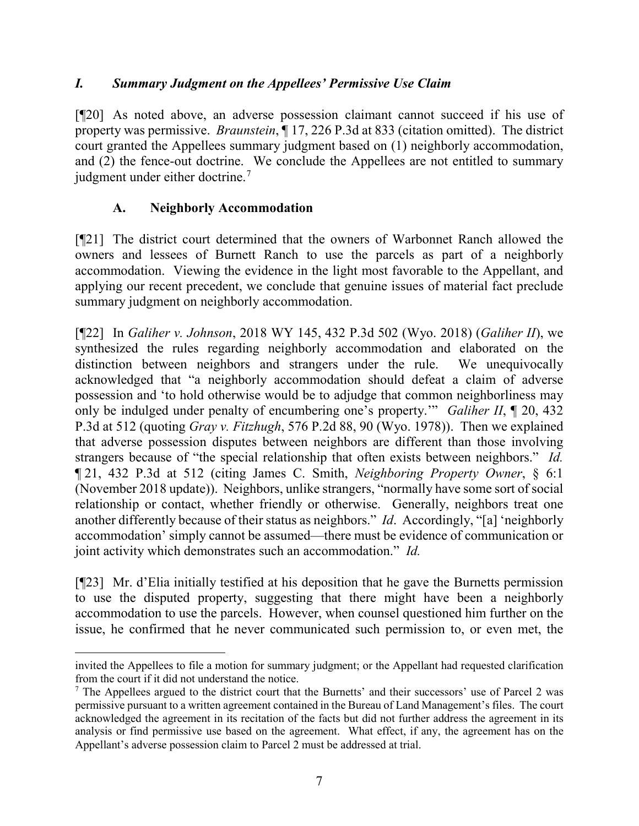### *I. Summary Judgment on the Appellees' Permissive Use Claim*

[¶20] As noted above, an adverse possession claimant cannot succeed if his use of property was permissive. *Braunstein*, ¶ 17, 226 P.3d at 833 (citation omitted). The district court granted the Appellees summary judgment based on (1) neighborly accommodation, and (2) the fence-out doctrine. We conclude the Appellees are not entitled to summary judgment under either doctrine.<sup>[7](#page-8-0)</sup>

### **A. Neighborly Accommodation**

 $\overline{\phantom{a}}$ 

[¶21] The district court determined that the owners of Warbonnet Ranch allowed the owners and lessees of Burnett Ranch to use the parcels as part of a neighborly accommodation. Viewing the evidence in the light most favorable to the Appellant, and applying our recent precedent, we conclude that genuine issues of material fact preclude summary judgment on neighborly accommodation.

[¶22] In *Galiher v. Johnson*, 2018 WY 145, 432 P.3d 502 (Wyo. 2018) (*Galiher II*), we synthesized the rules regarding neighborly accommodation and elaborated on the distinction between neighbors and strangers under the rule. We unequivocally acknowledged that "a neighborly accommodation should defeat a claim of adverse possession and 'to hold otherwise would be to adjudge that common neighborliness may only be indulged under penalty of encumbering one's property.'" *Galiher II*, ¶ 20, 432 P.3d at 512 (quoting *Gray v. Fitzhugh*, 576 P.2d 88, 90 (Wyo. 1978)). Then we explained that adverse possession disputes between neighbors are different than those involving strangers because of "the special relationship that often exists between neighbors." *Id.* ¶ 21, 432 P.3d at 512 (citing James C. Smith, *Neighboring Property Owner*, § 6:1 (November 2018 update)). Neighbors, unlike strangers, "normally have some sort of social relationship or contact, whether friendly or otherwise. Generally, neighbors treat one another differently because of their status as neighbors." *Id*. Accordingly, "[a] 'neighborly accommodation' simply cannot be assumed—there must be evidence of communication or joint activity which demonstrates such an accommodation." *Id.*

[¶23] Mr. d'Elia initially testified at his deposition that he gave the Burnetts permission to use the disputed property, suggesting that there might have been a neighborly accommodation to use the parcels. However, when counsel questioned him further on the issue, he confirmed that he never communicated such permission to, or even met, the

invited the Appellees to file a motion for summary judgment; or the Appellant had requested clarification from the court if it did not understand the notice.

<span id="page-8-0"></span> $<sup>7</sup>$  The Appellees argued to the district court that the Burnetts' and their successors' use of Parcel 2 was</sup> permissive pursuant to a written agreement contained in the Bureau of Land Management's files. The court acknowledged the agreement in its recitation of the facts but did not further address the agreement in its analysis or find permissive use based on the agreement. What effect, if any, the agreement has on the Appellant's adverse possession claim to Parcel 2 must be addressed at trial.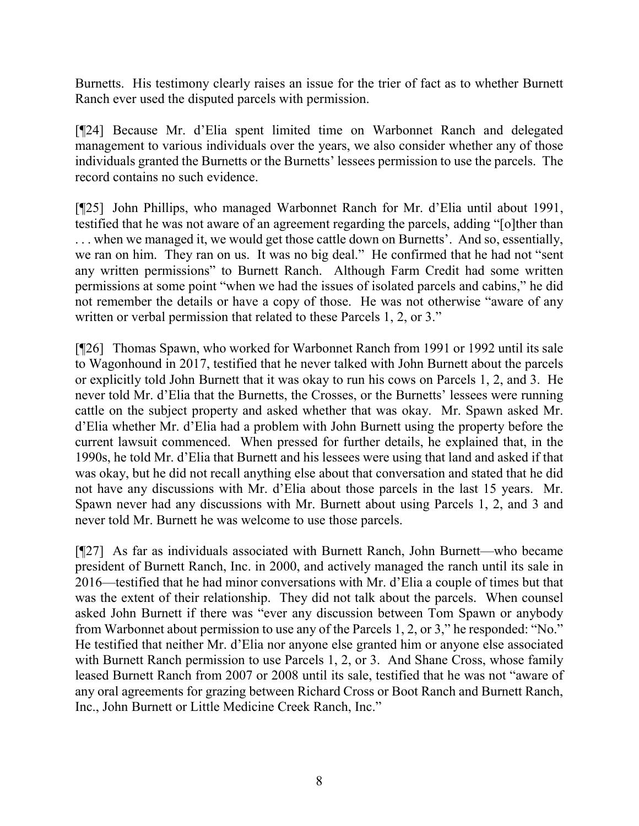Burnetts. His testimony clearly raises an issue for the trier of fact as to whether Burnett Ranch ever used the disputed parcels with permission.

[¶24] Because Mr. d'Elia spent limited time on Warbonnet Ranch and delegated management to various individuals over the years, we also consider whether any of those individuals granted the Burnetts or the Burnetts' lessees permission to use the parcels. The record contains no such evidence.

[¶25] John Phillips, who managed Warbonnet Ranch for Mr. d'Elia until about 1991, testified that he was not aware of an agreement regarding the parcels, adding "[o]ther than . . . when we managed it, we would get those cattle down on Burnetts'. And so, essentially, we ran on him. They ran on us. It was no big deal." He confirmed that he had not "sent any written permissions" to Burnett Ranch. Although Farm Credit had some written permissions at some point "when we had the issues of isolated parcels and cabins," he did not remember the details or have a copy of those. He was not otherwise "aware of any written or verbal permission that related to these Parcels 1, 2, or 3."

[¶26] Thomas Spawn, who worked for Warbonnet Ranch from 1991 or 1992 until its sale to Wagonhound in 2017, testified that he never talked with John Burnett about the parcels or explicitly told John Burnett that it was okay to run his cows on Parcels 1, 2, and 3. He never told Mr. d'Elia that the Burnetts, the Crosses, or the Burnetts' lessees were running cattle on the subject property and asked whether that was okay. Mr. Spawn asked Mr. d'Elia whether Mr. d'Elia had a problem with John Burnett using the property before the current lawsuit commenced. When pressed for further details, he explained that, in the 1990s, he told Mr. d'Elia that Burnett and his lessees were using that land and asked if that was okay, but he did not recall anything else about that conversation and stated that he did not have any discussions with Mr. d'Elia about those parcels in the last 15 years. Mr. Spawn never had any discussions with Mr. Burnett about using Parcels 1, 2, and 3 and never told Mr. Burnett he was welcome to use those parcels.

[¶27] As far as individuals associated with Burnett Ranch, John Burnett—who became president of Burnett Ranch, Inc. in 2000, and actively managed the ranch until its sale in 2016—testified that he had minor conversations with Mr. d'Elia a couple of times but that was the extent of their relationship. They did not talk about the parcels. When counsel asked John Burnett if there was "ever any discussion between Tom Spawn or anybody from Warbonnet about permission to use any of the Parcels 1, 2, or 3," he responded: "No." He testified that neither Mr. d'Elia nor anyone else granted him or anyone else associated with Burnett Ranch permission to use Parcels 1, 2, or 3. And Shane Cross, whose family leased Burnett Ranch from 2007 or 2008 until its sale, testified that he was not "aware of any oral agreements for grazing between Richard Cross or Boot Ranch and Burnett Ranch, Inc., John Burnett or Little Medicine Creek Ranch, Inc."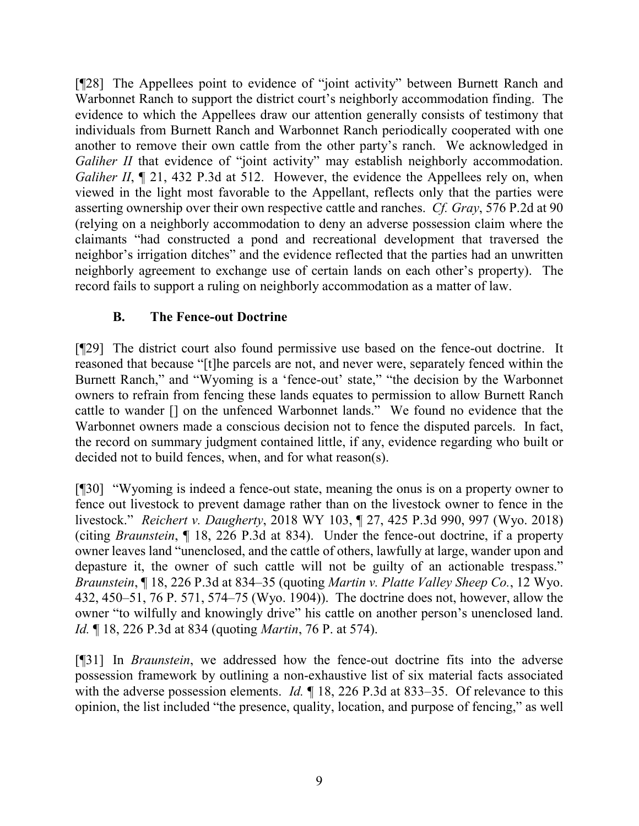[¶28] The Appellees point to evidence of "joint activity" between Burnett Ranch and Warbonnet Ranch to support the district court's neighborly accommodation finding. The evidence to which the Appellees draw our attention generally consists of testimony that individuals from Burnett Ranch and Warbonnet Ranch periodically cooperated with one another to remove their own cattle from the other party's ranch. We acknowledged in *Galiher II* that evidence of "joint activity" may establish neighborly accommodation. *Galiher II*,  $\llbracket 21, 432 \text{ P.3d}$  at 512. However, the evidence the Appellees rely on, when viewed in the light most favorable to the Appellant, reflects only that the parties were asserting ownership over their own respective cattle and ranches. *Cf. Gray*, 576 P.2d at 90 (relying on a neighborly accommodation to deny an adverse possession claim where the claimants "had constructed a pond and recreational development that traversed the neighbor's irrigation ditches" and the evidence reflected that the parties had an unwritten neighborly agreement to exchange use of certain lands on each other's property). The record fails to support a ruling on neighborly accommodation as a matter of law.

## **B. The Fence-out Doctrine**

[¶29] The district court also found permissive use based on the fence-out doctrine. It reasoned that because "[t]he parcels are not, and never were, separately fenced within the Burnett Ranch," and "Wyoming is a 'fence-out' state," "the decision by the Warbonnet owners to refrain from fencing these lands equates to permission to allow Burnett Ranch cattle to wander [] on the unfenced Warbonnet lands." We found no evidence that the Warbonnet owners made a conscious decision not to fence the disputed parcels. In fact, the record on summary judgment contained little, if any, evidence regarding who built or decided not to build fences, when, and for what reason(s).

[¶30] "Wyoming is indeed a fence-out state, meaning the onus is on a property owner to fence out livestock to prevent damage rather than on the livestock owner to fence in the livestock." *Reichert v. Daugherty*, 2018 WY 103, ¶ 27, 425 P.3d 990, 997 (Wyo. 2018) (citing *Braunstein*, ¶ 18, 226 P.3d at 834). Under the fence-out doctrine, if a property owner leaves land "unenclosed, and the cattle of others, lawfully at large, wander upon and depasture it, the owner of such cattle will not be guilty of an actionable trespass." *Braunstein*, ¶ 18, 226 P.3d at 834–35 (quoting *Martin v. Platte Valley Sheep Co.*, 12 Wyo. 432, 450–51, 76 P. 571, 574–75 (Wyo. 1904)). The doctrine does not, however, allow the owner "to wilfully and knowingly drive" his cattle on another person's unenclosed land. *Id.* ¶ 18, 226 P.3d at 834 (quoting *Martin*, 76 P. at 574).

[¶31] In *Braunstein*, we addressed how the fence-out doctrine fits into the adverse possession framework by outlining a non-exhaustive list of six material facts associated with the adverse possession elements. *Id.*  $\parallel$  18, 226 P.3d at 833–35. Of relevance to this opinion, the list included "the presence, quality, location, and purpose of fencing," as well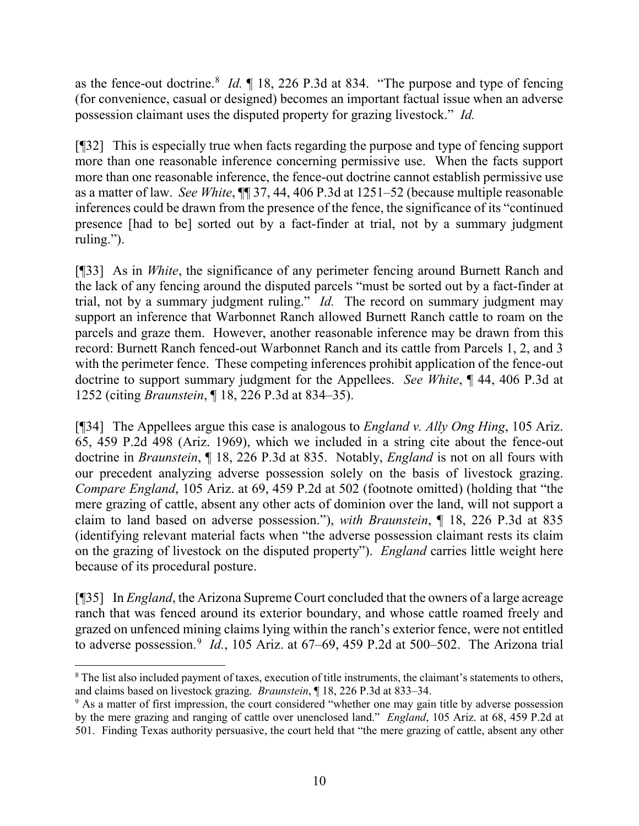as the fence-out doctrine.<sup>[8](#page-11-0)</sup> *Id.* 18, 226 P.3d at 834. "The purpose and type of fencing (for convenience, casual or designed) becomes an important factual issue when an adverse possession claimant uses the disputed property for grazing livestock." *Id.* 

[¶32] This is especially true when facts regarding the purpose and type of fencing support more than one reasonable inference concerning permissive use. When the facts support more than one reasonable inference, the fence-out doctrine cannot establish permissive use as a matter of law. *See White*, ¶¶ 37, 44, 406 P.3d at 1251–52 (because multiple reasonable inferences could be drawn from the presence of the fence, the significance of its "continued presence [had to be] sorted out by a fact-finder at trial, not by a summary judgment ruling.").

[¶33] As in *White*, the significance of any perimeter fencing around Burnett Ranch and the lack of any fencing around the disputed parcels "must be sorted out by a fact-finder at trial, not by a summary judgment ruling." *Id.* The record on summary judgment may support an inference that Warbonnet Ranch allowed Burnett Ranch cattle to roam on the parcels and graze them. However, another reasonable inference may be drawn from this record: Burnett Ranch fenced-out Warbonnet Ranch and its cattle from Parcels 1, 2, and 3 with the perimeter fence. These competing inferences prohibit application of the fence-out doctrine to support summary judgment for the Appellees. *See White*, ¶ 44, 406 P.3d at 1252 (citing *Braunstein*, ¶ 18, 226 P.3d at 834–35).

[¶34] The Appellees argue this case is analogous to *England v. Ally Ong Hing*, 105 Ariz. 65, 459 P.2d 498 (Ariz. 1969), which we included in a string cite about the fence-out doctrine in *Braunstein*, ¶ 18, 226 P.3d at 835. Notably, *England* is not on all fours with our precedent analyzing adverse possession solely on the basis of livestock grazing. *Compare England*, 105 Ariz. at 69, 459 P.2d at 502 (footnote omitted) (holding that "the mere grazing of cattle, absent any other acts of dominion over the land, will not support a claim to land based on adverse possession."), *with Braunstein*, ¶ 18, 226 P.3d at 835 (identifying relevant material facts when "the adverse possession claimant rests its claim on the grazing of livestock on the disputed property"). *England* carries little weight here because of its procedural posture.

[¶35] In *England*, the Arizona Supreme Court concluded that the owners of a large acreage ranch that was fenced around its exterior boundary, and whose cattle roamed freely and grazed on unfenced mining claims lying within the ranch's exterior fence, were not entitled to adverse possession.<sup>[9](#page-11-1)</sup> *Id.*, 105 Ariz. at  $67-69$ , 459 P.2d at 500-502. The Arizona trial

l

<span id="page-11-0"></span><sup>&</sup>lt;sup>8</sup> The list also included payment of taxes, execution of title instruments, the claimant's statements to others, and claims based on livestock grazing. *Braunstein*, ¶ 18, 226 P.3d at 833–34.

<span id="page-11-1"></span><sup>&</sup>lt;sup>9</sup> As a matter of first impression, the court considered "whether one may gain title by adverse possession by the mere grazing and ranging of cattle over unenclosed land." *England*, 105 Ariz. at 68, 459 P.2d at 501. Finding Texas authority persuasive, the court held that "the mere grazing of cattle, absent any other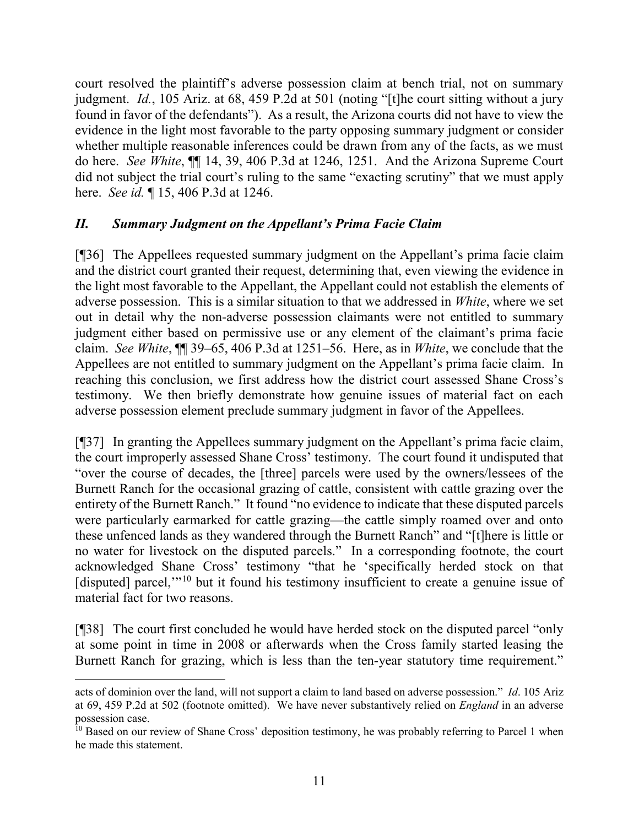court resolved the plaintiff's adverse possession claim at bench trial, not on summary judgment. *Id.*, 105 Ariz. at 68, 459 P.2d at 501 (noting "[t]he court sitting without a jury found in favor of the defendants"). As a result, the Arizona courts did not have to view the evidence in the light most favorable to the party opposing summary judgment or consider whether multiple reasonable inferences could be drawn from any of the facts, as we must do here. *See White*, ¶¶ 14, 39, 406 P.3d at 1246, 1251. And the Arizona Supreme Court did not subject the trial court's ruling to the same "exacting scrutiny" that we must apply here. *See id.* ¶ 15, 406 P.3d at 1246.

## *II. Summary Judgment on the Appellant's Prima Facie Claim*

[¶36] The Appellees requested summary judgment on the Appellant's prima facie claim and the district court granted their request, determining that, even viewing the evidence in the light most favorable to the Appellant, the Appellant could not establish the elements of adverse possession. This is a similar situation to that we addressed in *White*, where we set out in detail why the non-adverse possession claimants were not entitled to summary judgment either based on permissive use or any element of the claimant's prima facie claim. *See White*, ¶¶ 39–65, 406 P.3d at 1251–56. Here, as in *White*, we conclude that the Appellees are not entitled to summary judgment on the Appellant's prima facie claim. In reaching this conclusion, we first address how the district court assessed Shane Cross's testimony. We then briefly demonstrate how genuine issues of material fact on each adverse possession element preclude summary judgment in favor of the Appellees.

[¶37] In granting the Appellees summary judgment on the Appellant's prima facie claim, the court improperly assessed Shane Cross' testimony. The court found it undisputed that "over the course of decades, the [three] parcels were used by the owners/lessees of the Burnett Ranch for the occasional grazing of cattle, consistent with cattle grazing over the entirety of the Burnett Ranch." It found "no evidence to indicate that these disputed parcels were particularly earmarked for cattle grazing—the cattle simply roamed over and onto these unfenced lands as they wandered through the Burnett Ranch" and "[t]here is little or no water for livestock on the disputed parcels." In a corresponding footnote, the court acknowledged Shane Cross' testimony "that he 'specifically herded stock on that [disputed] parcel,"<sup>[10](#page-12-0)</sup> but it found his testimony insufficient to create a genuine issue of material fact for two reasons.

[¶38] The court first concluded he would have herded stock on the disputed parcel "only at some point in time in 2008 or afterwards when the Cross family started leasing the Burnett Ranch for grazing, which is less than the ten-year statutory time requirement."

l

acts of dominion over the land, will not support a claim to land based on adverse possession." *Id*. 105 Ariz at 69, 459 P.2d at 502 (footnote omitted). We have never substantively relied on *England* in an adverse possession case.

<span id="page-12-0"></span><sup>&</sup>lt;sup>10</sup> Based on our review of Shane Cross' deposition testimony, he was probably referring to Parcel 1 when he made this statement.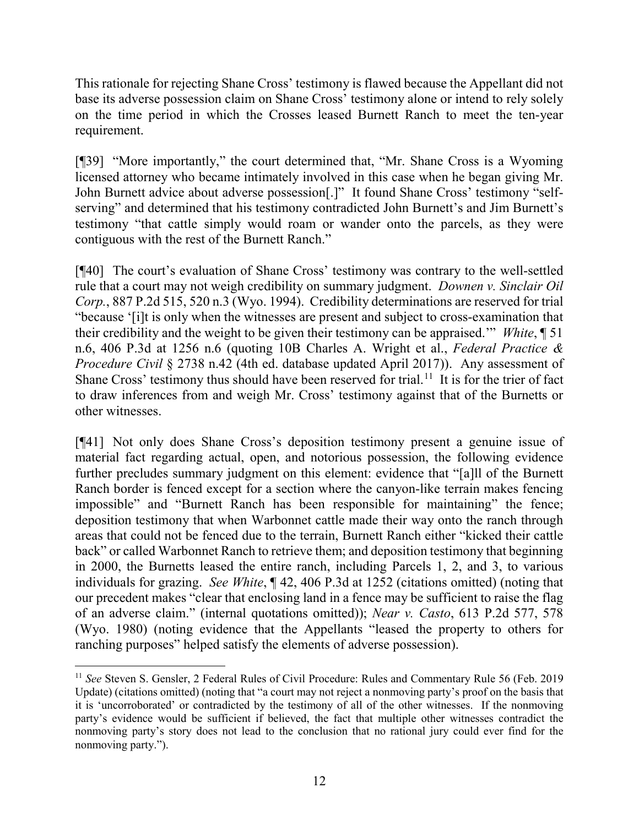This rationale for rejecting Shane Cross' testimony is flawed because the Appellant did not base its adverse possession claim on Shane Cross' testimony alone or intend to rely solely on the time period in which the Crosses leased Burnett Ranch to meet the ten-year requirement.

[¶39] "More importantly," the court determined that, "Mr. Shane Cross is a Wyoming licensed attorney who became intimately involved in this case when he began giving Mr. John Burnett advice about adverse possession[.]" It found Shane Cross' testimony "selfserving" and determined that his testimony contradicted John Burnett's and Jim Burnett's testimony "that cattle simply would roam or wander onto the parcels, as they were contiguous with the rest of the Burnett Ranch."

[¶40] The court's evaluation of Shane Cross' testimony was contrary to the well-settled rule that a court may not weigh credibility on summary judgment. *Downen v. Sinclair Oil Corp.*, 887 P.2d 515, 520 n.3 (Wyo. 1994). Credibility determinations are reserved for trial "because '[i]t is only when the witnesses are present and subject to cross-examination that their credibility and the weight to be given their testimony can be appraised.'" *White*, ¶ 51 n.6, 406 P.3d at 1256 n.6 (quoting 10B Charles A. Wright et al., *Federal Practice & Procedure Civil* § 2738 n.42 (4th ed. database updated April 2017)). Any assessment of Shane Cross' testimony thus should have been reserved for trial.<sup>[11](#page-13-0)</sup> It is for the trier of fact to draw inferences from and weigh Mr. Cross' testimony against that of the Burnetts or other witnesses.

[¶41] Not only does Shane Cross's deposition testimony present a genuine issue of material fact regarding actual, open, and notorious possession, the following evidence further precludes summary judgment on this element: evidence that "[a]ll of the Burnett Ranch border is fenced except for a section where the canyon-like terrain makes fencing impossible" and "Burnett Ranch has been responsible for maintaining" the fence; deposition testimony that when Warbonnet cattle made their way onto the ranch through areas that could not be fenced due to the terrain, Burnett Ranch either "kicked their cattle back" or called Warbonnet Ranch to retrieve them; and deposition testimony that beginning in 2000, the Burnetts leased the entire ranch, including Parcels 1, 2, and 3, to various individuals for grazing. *See White*, ¶ 42, 406 P.3d at 1252 (citations omitted) (noting that our precedent makes "clear that enclosing land in a fence may be sufficient to raise the flag of an adverse claim." (internal quotations omitted)); *Near v. Casto*, 613 P.2d 577, 578 (Wyo. 1980) (noting evidence that the Appellants "leased the property to others for ranching purposes" helped satisfy the elements of adverse possession).

<span id="page-13-0"></span> $\overline{\phantom{a}}$ <sup>11</sup> *See* Steven S. Gensler, 2 Federal Rules of Civil Procedure: Rules and Commentary Rule 56 (Feb. 2019 Update) (citations omitted) (noting that "a court may not reject a nonmoving party's proof on the basis that it is 'uncorroborated' or contradicted by the testimony of all of the other witnesses. If the nonmoving party's evidence would be sufficient if believed, the fact that multiple other witnesses contradict the nonmoving party's story does not lead to the conclusion that no rational jury could ever find for the nonmoving party.").